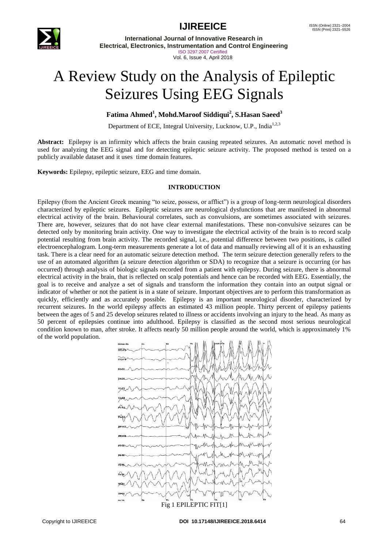

**IJIREEICE** ISSN (Online) 2321–2004

**International Journal of Innovative Research in Electrical, Electronics, Instrumentation and Control Engineering** ISO 3297:2007 Certified

### Vol. 6, Issue 4, April 2018

# A Review Study on the Analysis of Epileptic Seizures Using EEG Signals

### **Fatima Ahmed<sup>1</sup> , Mohd.Maroof Siddiqui<sup>2</sup> , S.Hasan Saeed<sup>3</sup>**

Department of ECE, Integral University, Lucknow, U.P., India<sup>1,2,3</sup>

**Abstract:** Epilepsy is an infirmity which affects the brain causing repeated seizures. An automatic novel method is used for analyzing the EEG signal and for detecting epileptic seizure activity. The proposed method is tested on a publicly available dataset and it uses time domain features.

**Keywords:** Epilepsy, epileptic seizure, EEG and time domain.

### **INTRODUCTION**

Epilepsy (from the Ancient Greek meaning "to seize, possess, or afflict") is a group of long-term neurological disorders characterized by epileptic seizures. Epileptic seizures are neurological dysfunctions that are manifested in abnormal electrical activity of the brain. Behavioural correlates, such as convulsions, are sometimes associated with seizures. There are, however, seizures that do not have clear external manifestations. These non-convulsive seizures can be detected only by monitoring brain activity. One way to investigate the electrical activity of the brain is to record scalp potential resulting from brain activity. The recorded signal, i.e., potential difference between two positions, is called electroencephalogram. Long-term measurements generate a lot of data and manually reviewing all of it is an exhausting task. There is a clear need for an automatic seizure detection method. The term seizure detection generally refers to the use of an automated algorithm (a seizure detection algorithm or SDA) to recognize that a seizure is occurring (or has occurred) through analysis of biologic signals recorded from a patient with epilepsy. During seizure, there is abnormal electrical activity in the brain, that is reflected on scalp potentials and hence can be recorded with EEG. Essentially, the goal is to receive and analyze a set of signals and transform the information they contain into an output signal or indicator of whether or not the patient is in a state of seizure. Important objectives are to perform this transformation as quickly, efficiently and as accurately possible. Epilepsy is an important neurological disorder, characterized by recurrent seizures. In the world epilepsy affects an estimated 43 million people. Thirty percent of epilepsy patients between the ages of 5 and 25 develop seizures related to illness or accidents involving an injury to the head. As many as 50 percent of epilepsies continue into adulthood. Epilepsy is classified as the second most serious neurological condition known to man, after stroke. It affects nearly 50 million people around the world, which is approximately 1% of the world population.